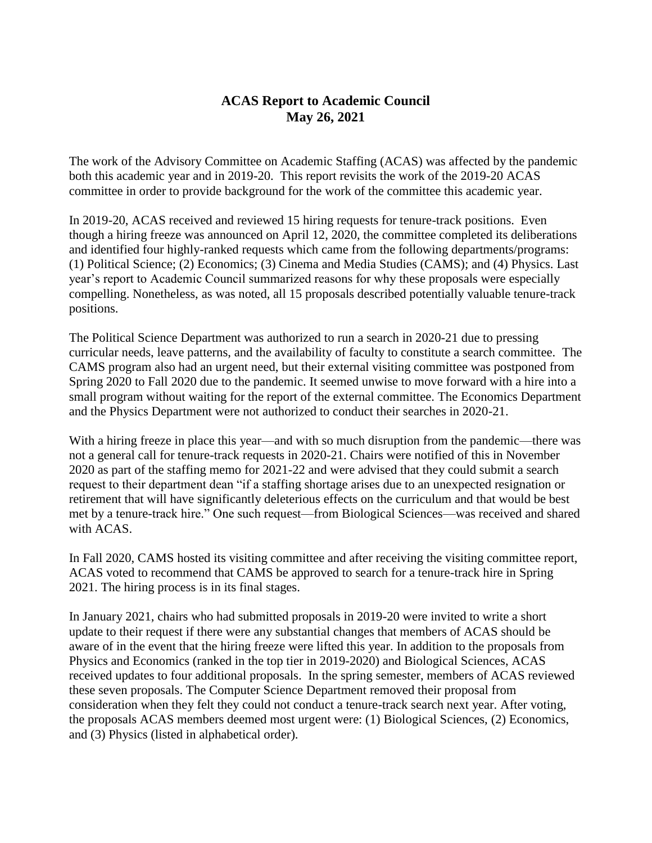## **ACAS Report to Academic Council May 26, 2021**

The work of the Advisory Committee on Academic Staffing (ACAS) was affected by the pandemic both this academic year and in 2019-20. This report revisits the work of the 2019-20 ACAS committee in order to provide background for the work of the committee this academic year.

In 2019-20, ACAS received and reviewed 15 hiring requests for tenure-track positions. Even though a hiring freeze was announced on April 12, 2020, the committee completed its deliberations and identified four highly-ranked requests which came from the following departments/programs: (1) Political Science; (2) Economics; (3) Cinema and Media Studies (CAMS); and (4) Physics. Last year's report to Academic Council summarized reasons for why these proposals were especially compelling. Nonetheless, as was noted, all 15 proposals described potentially valuable tenure-track positions.

The Political Science Department was authorized to run a search in 2020-21 due to pressing curricular needs, leave patterns, and the availability of faculty to constitute a search committee. The CAMS program also had an urgent need, but their external visiting committee was postponed from Spring 2020 to Fall 2020 due to the pandemic. It seemed unwise to move forward with a hire into a small program without waiting for the report of the external committee. The Economics Department and the Physics Department were not authorized to conduct their searches in 2020-21.

With a hiring freeze in place this year—and with so much disruption from the pandemic—there was not a general call for tenure-track requests in 2020-21. Chairs were notified of this in November 2020 as part of the staffing memo for 2021-22 and were advised that they could submit a search request to their department dean "if a staffing shortage arises due to an unexpected resignation or retirement that will have significantly deleterious effects on the curriculum and that would be best met by a tenure-track hire." One such request—from Biological Sciences—was received and shared with ACAS.

In Fall 2020, CAMS hosted its visiting committee and after receiving the visiting committee report, ACAS voted to recommend that CAMS be approved to search for a tenure-track hire in Spring 2021. The hiring process is in its final stages.

In January 2021, chairs who had submitted proposals in 2019-20 were invited to write a short update to their request if there were any substantial changes that members of ACAS should be aware of in the event that the hiring freeze were lifted this year. In addition to the proposals from Physics and Economics (ranked in the top tier in 2019-2020) and Biological Sciences, ACAS received updates to four additional proposals. In the spring semester, members of ACAS reviewed these seven proposals. The Computer Science Department removed their proposal from consideration when they felt they could not conduct a tenure-track search next year. After voting, the proposals ACAS members deemed most urgent were: (1) Biological Sciences, (2) Economics, and (3) Physics (listed in alphabetical order).